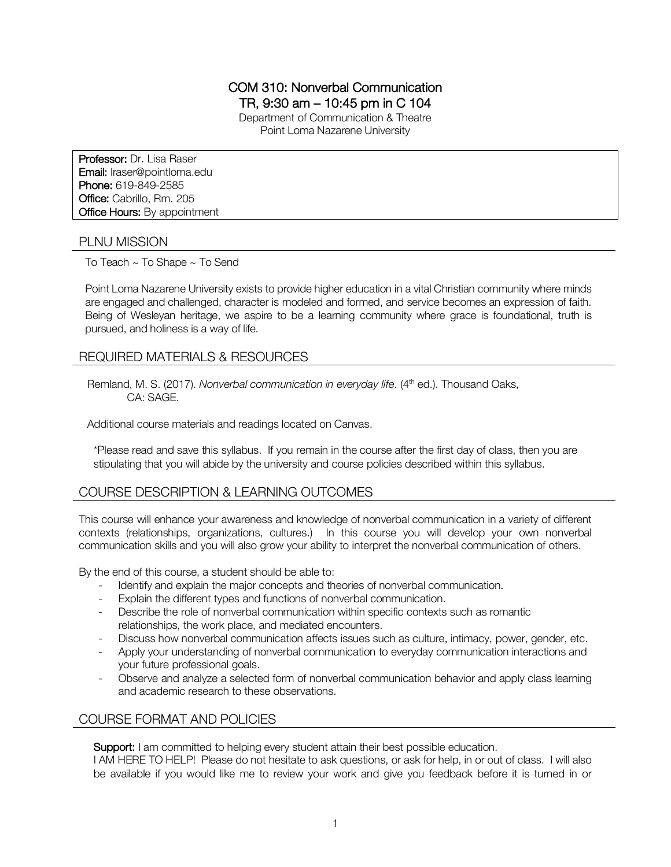# COM 310: Nonverbal Communication

TR, 9:30 am – 10:45 pm in C 104

Department of Communication & Theatre Point Loma Nazarene University

Professor: Dr. Lisa Raser Email: lraser@pointloma.edu Phone: 619-849-2585 Office: Cabrillo, Rm. 205 **Office Hours: By appointment** 

#### PLNU MISSION

To Teach ~ To Shape ~ To Send

Point Loma Nazarene University exists to provide higher education in a vital Christian community where minds are engaged and challenged, character is modeled and formed, and service becomes an expression of faith. Being of Wesleyan heritage, we aspire to be a learning community where grace is foundational, truth is pursued, and holiness is a way of life.

### REQUIRED MATERIALS & RESOURCES

Remland, M. S. (2017). *Nonverbal communication in everyday life.* (4<sup>th</sup> ed.). Thousand Oaks, CA: SAGE.

Additional course materials and readings located on Canvas.

\*Please read and save this syllabus. If you remain in the course after the first day of class, then you are stipulating that you will abide by the university and course policies described within this syllabus.

# COURSE DESCRIPTION & LEARNING OUTCOMES

This course will enhance your awareness and knowledge of nonverbal communication in a variety of different contexts (relationships, organizations, cultures.) In this course you will develop your own nonverbal communication skills and you will also grow your ability to interpret the nonverbal communication of others.

By the end of this course, a student should be able to:

- Identify and explain the major concepts and theories of nonverbal communication.
- Explain the different types and functions of nonverbal communication.
- Describe the role of nonverbal communication within specific contexts such as romantic relationships, the work place, and mediated encounters.
- Discuss how nonverbal communication affects issues such as culture, intimacy, power, gender, etc.
- Apply your understanding of nonverbal communication to everyday communication interactions and your future professional goals.
- Observe and analyze a selected form of nonverbal communication behavior and apply class learning and academic research to these observations.

### COURSE FORMAT AND POLICIES

Support: I am committed to helping every student attain their best possible education.

I AM HERE TO HELP! Please do not hesitate to ask questions, or ask for help, in or out of class. I will also be available if you would like me to review your work and give you feedback before it is turned in or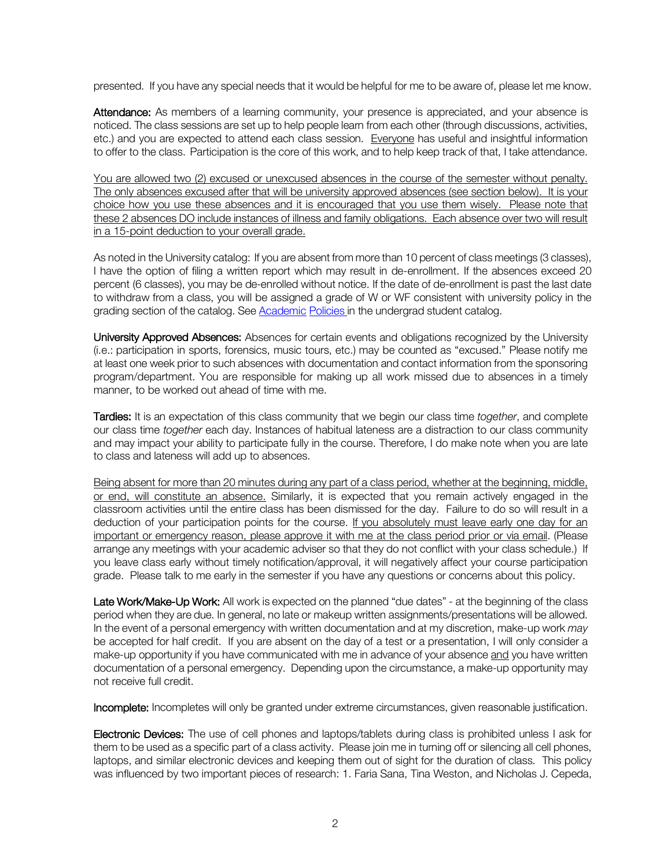presented. If you have any special needs that it would be helpful for me to be aware of, please let me know.

Attendance: As members of a learning community, your presence is appreciated, and your absence is noticed. The class sessions are set up to help people learn from each other (through discussions, activities, etc.) and you are expected to attend each class session. Everyone has useful and insightful information to offer to the class. Participation is the core of this work, and to help keep track of that, I take attendance.

You are allowed two (2) excused or unexcused absences in the course of the semester without penalty. The only absences excused after that will be university approved absences (see section below). It is your choice how you use these absences and it is encouraged that you use them wisely. Please note that these 2 absences DO include instances of illness and family obligations. Each absence over two will result in a 15-point deduction to your overall grade.

As noted in the University catalog: If you are absent from more than 10 percent of class meetings (3 classes), I have the option of filing a written report which may result in de-enrollment. If the absences exceed 20 percent (6 classes), you may be de-enrolled without notice. If the date of de-enrollment is past the last date to withdraw from a class, you will be assigned a grade of W or WF consistent with university policy in the grading section of the catalog. See Academic Policies in the undergrad student catalog.

University Approved Absences: Absences for certain events and obligations recognized by the University (i.e.: participation in sports, forensics, music tours, etc.) may be counted as "excused." Please notify me at least one week prior to such absences with documentation and contact information from the sponsoring program/department. You are responsible for making up all work missed due to absences in a timely manner, to be worked out ahead of time with me.

Tardies: It is an expectation of this class community that we begin our class time *together*, and complete our class time *together* each day. Instances of habitual lateness are a distraction to our class community and may impact your ability to participate fully in the course. Therefore, I do make note when you are late to class and lateness will add up to absences.

Being absent for more than 20 minutes during any part of a class period, whether at the beginning, middle, or end, will constitute an absence. Similarly, it is expected that you remain actively engaged in the classroom activities until the entire class has been dismissed for the day. Failure to do so will result in a deduction of your participation points for the course. If you absolutely must leave early one day for an important or emergency reason, please approve it with me at the class period prior or via email. (Please arrange any meetings with your academic adviser so that they do not conflict with your class schedule.) If you leave class early without timely notification/approval, it will negatively affect your course participation grade. Please talk to me early in the semester if you have any questions or concerns about this policy.

Late Work/Make-Up Work: All work is expected on the planned "due dates" - at the beginning of the class period when they are due. In general, no late or makeup written assignments/presentations will be allowed. In the event of a personal emergency with written documentation and at my discretion, make-up work *may* be accepted for half credit. If you are absent on the day of a test or a presentation, I will only consider a make-up opportunity if you have communicated with me in advance of your absence and you have written documentation of a personal emergency. Depending upon the circumstance, a make-up opportunity may not receive full credit.

Incomplete: Incompletes will only be granted under extreme circumstances, given reasonable justification.

Electronic Devices: The use of cell phones and laptops/tablets during class is prohibited unless I ask for them to be used as a specific part of a class activity. Please join me in turning off or silencing all cell phones, laptops, and similar electronic devices and keeping them out of sight for the duration of class. This policy was influenced by two important pieces of research: 1. Faria Sana, Tina Weston, and Nicholas J. Cepeda,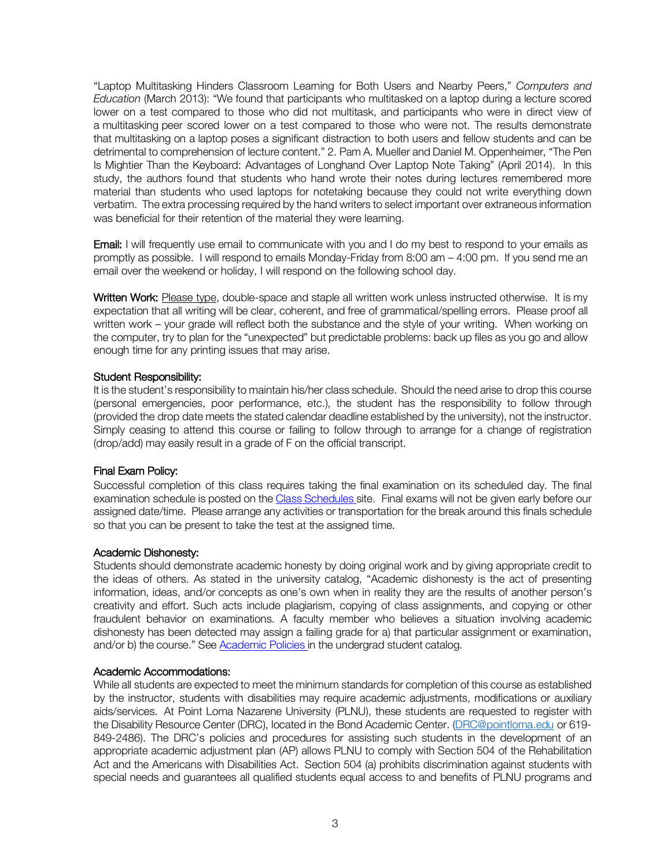"Laptop Multitasking Hinders Classroom Learning for Both Users and Nearby Peers," *Computers and Education* (March 2013): "We found that participants who multitasked on a laptop during a lecture scored lower on a test compared to those who did not multitask, and participants who were in direct view of a multitasking peer scored lower on a test compared to those who were not. The results demonstrate that multitasking on a laptop poses a significant distraction to both users and fellow students and can be detrimental to comprehension of lecture content." 2. Pam A. Mueller and Daniel M. Oppenheimer, "The Pen Is Mightier Than the Keyboard: Advantages of Longhand Over Laptop Note Taking" (April 2014). In this study, the authors found that students who hand wrote their notes during lectures remembered more material than students who used laptops for notetaking because they could not write everything down verbatim. The extra processing required by the hand writers to select important over extraneous information was beneficial for their retention of the material they were learning.

Email: I will frequently use email to communicate with you and I do my best to respond to your emails as promptly as possible. I will respond to emails Monday-Friday from 8:00 am – 4:00 pm. If you send me an email over the weekend or holiday, I will respond on the following school day.

Written Work: Please type, double-space and staple all written work unless instructed otherwise. It is my expectation that all writing will be clear, coherent, and free of grammatical/spelling errors. Please proof all written work – your grade will reflect both the substance and the style of your writing. When working on the computer, try to plan for the "unexpected" but predictable problems: back up files as you go and allow enough time for any printing issues that may arise.

#### Student Responsibility:

It is the student's responsibility to maintain his/her class schedule. Should the need arise to drop this course (personal emergencies, poor performance, etc.), the student has the responsibility to follow through (provided the drop date meets the stated calendar deadline established by the university), not the instructor. Simply ceasing to attend this course or failing to follow through to arrange for a change of registration (drop/add) may easily result in a grade of F on the official transcript.

#### Final Exam Policy:

Successful completion of this class requires taking the final examination on its scheduled day. The final examination schedule is posted on the Class Schedules site. Final exams will not be given early before our assigned date/time. Please arrange any activities or transportation for the break around this finals schedule so that you can be present to take the test at the assigned time.

#### Academic Dishonesty:

Students should demonstrate academic honesty by doing original work and by giving appropriate credit to the ideas of others. As stated in the university catalog, "Academic dishonesty is the act of presenting information, ideas, and/or concepts as one's own when in reality they are the results of another person's creativity and effort. Such acts include plagiarism, copying of class assignments, and copying or other fraudulent behavior on examinations. A faculty member who believes a situation involving academic dishonesty has been detected may assign a failing grade for a) that particular assignment or examination, and/or b) the course." See Academic Policies in the undergrad student catalog.

#### Academic Accommodations:

While all students are expected to meet the minimum standards for completion of this course as established by the instructor, students with disabilities may require academic adjustments, modifications or auxiliary aids/services. At Point Loma Nazarene University (PLNU), these students are requested to register with the Disability Resource Center (DRC), located in the Bond Academic Center. (DRC@pointloma.edu or 619- 849-2486). The DRC's policies and procedures for assisting such students in the development of an appropriate academic adjustment plan (AP) allows PLNU to comply with Section 504 of the Rehabilitation Act and the Americans with Disabilities Act. Section 504 (a) prohibits discrimination against students with special needs and guarantees all qualified students equal access to and benefits of PLNU programs and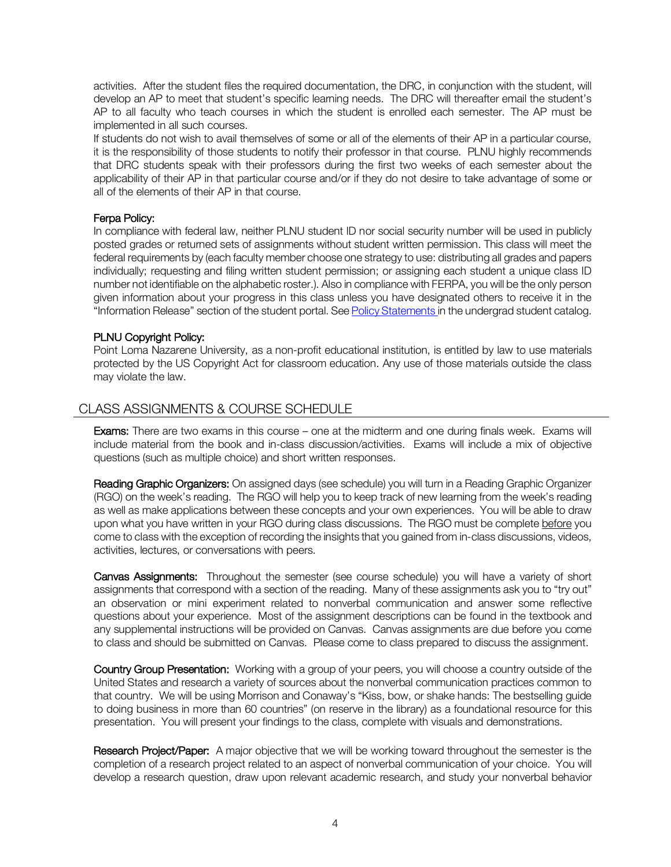activities. After the student files the required documentation, the DRC, in conjunction with the student, will develop an AP to meet that student's specific learning needs. The DRC will thereafter email the student's AP to all faculty who teach courses in which the student is enrolled each semester. The AP must be implemented in all such courses.

If students do not wish to avail themselves of some or all of the elements of their AP in a particular course, it is the responsibility of those students to notify their professor in that course. PLNU highly recommends that DRC students speak with their professors during the first two weeks of each semester about the applicability of their AP in that particular course and/or if they do not desire to take advantage of some or all of the elements of their AP in that course.

#### Ferpa Policy:

In compliance with federal law, neither PLNU student ID nor social security number will be used in publicly posted grades or returned sets of assignments without student written permission. This class will meet the federal requirements by (each faculty member choose one strategy to use: distributing all grades and papers individually; requesting and filing written student permission; or assigning each student a unique class ID number not identifiable on the alphabetic roster.). Also in compliance with FERPA, you will be the only person given information about your progress in this class unless you have designated others to receive it in the "Information Release" section of the student portal. See Policy Statements in the undergrad student catalog.

#### PLNU Copyright Policy:

Point Loma Nazarene University, as a non-profit educational institution, is entitled by law to use materials protected by the US Copyright Act for classroom education. Any use of those materials outside the class may violate the law.

# CLASS ASSIGNMENTS & COURSE SCHEDULE

**Exams:** There are two exams in this course – one at the midterm and one during finals week. Exams will include material from the book and in-class discussion/activities. Exams will include a mix of objective questions (such as multiple choice) and short written responses.

Reading Graphic Organizers: On assigned days (see schedule) you will turn in a Reading Graphic Organizer (RGO) on the week's reading. The RGO will help you to keep track of new learning from the week's reading as well as make applications between these concepts and your own experiences. You will be able to draw upon what you have written in your RGO during class discussions. The RGO must be complete before you come to class with the exception of recording the insights that you gained from in-class discussions, videos, activities, lectures, or conversations with peers.

Canvas Assignments: Throughout the semester (see course schedule) you will have a variety of short assignments that correspond with a section of the reading. Many of these assignments ask you to "try out" an observation or mini experiment related to nonverbal communication and answer some reflective questions about your experience. Most of the assignment descriptions can be found in the textbook and any supplemental instructions will be provided on Canvas. Canvas assignments are due before you come to class and should be submitted on Canvas. Please come to class prepared to discuss the assignment.

Country Group Presentation: Working with a group of your peers, you will choose a country outside of the United States and research a variety of sources about the nonverbal communication practices common to that country. We will be using Morrison and Conaway's "Kiss, bow, or shake hands: The bestselling guide to doing business in more than 60 countries" (on reserve in the library) as a foundational resource for this presentation. You will present your findings to the class, complete with visuals and demonstrations.

Research Project/Paper: A major objective that we will be working toward throughout the semester is the completion of a research project related to an aspect of nonverbal communication of your choice. You will develop a research question, draw upon relevant academic research, and study your nonverbal behavior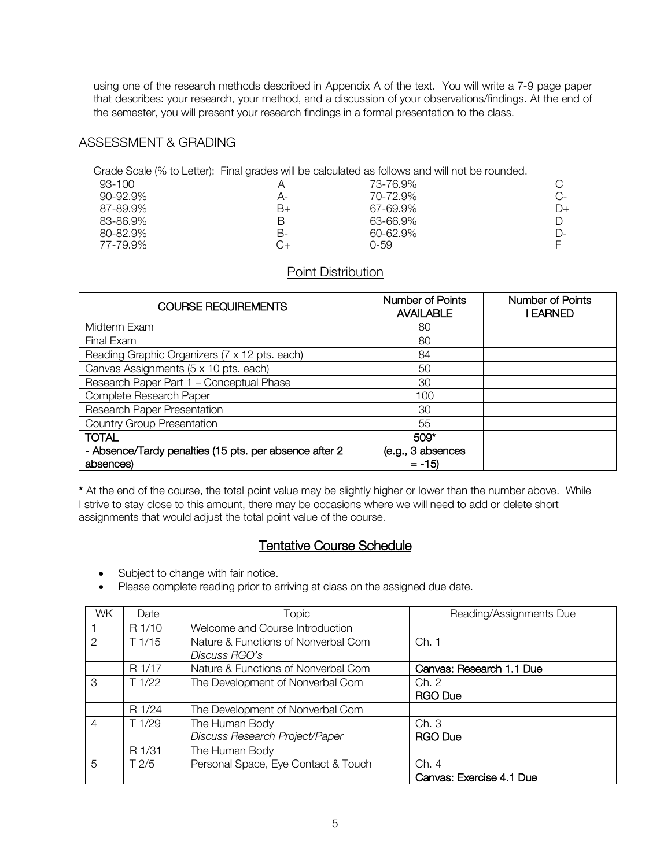using one of the research methods described in Appendix A of the text. You will write a 7-9 page paper that describes: your research, your method, and a discussion of your observations/findings. At the end of the semester, you will present your research findings in a formal presentation to the class.

#### ASSESSMENT & GRADING

|               |    | Grade Scale (% to Letter): Final grades will be calculated as follows and will not be rounded. |       |
|---------------|----|------------------------------------------------------------------------------------------------|-------|
| 93-100        |    | 73-76.9%                                                                                       |       |
| $90 - 92.9\%$ | А- | 70-72.9%                                                                                       | $C$ - |
| 87-89.9%      | B+ | 67-69.9%                                                                                       | $D+$  |
| 83-86.9%      |    | 63-66.9%                                                                                       |       |
| 80-82.9%      | B- | 60-62.9%                                                                                       | D-    |
| 77-79.9%      |    | 0-59                                                                                           |       |
|               |    |                                                                                                |       |

### Point Distribution

| <b>COURSE REQUIREMENTS</b>                             | Number of Points<br><b>AVAILABLE</b> | <b>Number of Points</b><br>I EARNED |
|--------------------------------------------------------|--------------------------------------|-------------------------------------|
| Midterm Exam                                           | 80                                   |                                     |
| Final Exam                                             | 80                                   |                                     |
| Reading Graphic Organizers (7 x 12 pts. each)          | 84                                   |                                     |
| Canvas Assignments (5 x 10 pts. each)                  | 50                                   |                                     |
| Research Paper Part 1 - Conceptual Phase               | 30                                   |                                     |
| Complete Research Paper                                | 100                                  |                                     |
| Research Paper Presentation                            | 30                                   |                                     |
| <b>Country Group Presentation</b>                      | 55                                   |                                     |
| <b>TOTAL</b>                                           | $509*$                               |                                     |
| - Absence/Tardy penalties (15 pts. per absence after 2 | (e.g., 3 absences                    |                                     |
| absences)                                              | $= -15$                              |                                     |

\* At the end of the course, the total point value may be slightly higher or lower than the number above. While I strive to stay close to this amount, there may be occasions where we will need to add or delete short assignments that would adjust the total point value of the course.

# Tentative Course Schedule

- Subject to change with fair notice.
- Please complete reading prior to arriving at class on the assigned due date.

| <b>WK</b>      | Date           | <b>Topic</b>                        | Reading/Assignments Due  |
|----------------|----------------|-------------------------------------|--------------------------|
|                | R 1/10         | Welcome and Course Introduction     |                          |
| $\mathcal{P}$  | T1/15          | Nature & Functions of Nonverbal Com | Ch. 1                    |
|                |                | Discuss RGO's                       |                          |
|                | R 1/17         | Nature & Functions of Nonverbal Com | Canvas: Research 1.1 Due |
| 3              | T1/22          | The Development of Nonverbal Com    | Ch. 2                    |
|                |                |                                     | <b>RGO Due</b>           |
|                | R 1/24         | The Development of Nonverbal Com    |                          |
| $\overline{4}$ | T1/29          | The Human Body                      | Ch.3                     |
|                |                | Discuss Research Project/Paper      | <b>RGO Due</b>           |
|                | R 1/31         | The Human Body                      |                          |
| $\overline{5}$ | $T\frac{2}{5}$ | Personal Space, Eye Contact & Touch | Ch. 4                    |
|                |                |                                     | Canvas: Exercise 4.1 Due |